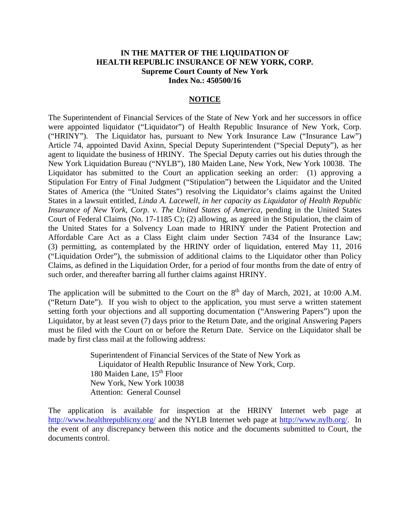## **IN THE MATTER OF THE LIQUIDATION OF HEALTH REPUBLIC INSURANCE OF NEW YORK, CORP. Supreme Court County of New York Index No.: 450500/16**

## **NOTICE**

The Superintendent of Financial Services of the State of New York and her successors in office were appointed liquidator ("Liquidator") of Health Republic Insurance of New York, Corp. ("HRINY"). The Liquidator has, pursuant to New York Insurance Law ("Insurance Law") Article 74, appointed David Axinn, Special Deputy Superintendent ("Special Deputy"), as her agent to liquidate the business of HRINY. The Special Deputy carries out his duties through the New York Liquidation Bureau ("NYLB"), 180 Maiden Lane, New York, New York 10038. The Liquidator has submitted to the Court an application seeking an order: (1) approving a Stipulation For Entry of Final Judgment ("Stipulation") between the Liquidator and the United States of America (the "United States") resolving the Liquidator's claims against the United States in a lawsuit entitled, *Linda A. Lacewell, in her capacity as Liquidator of Health Republic Insurance of New York, Corp. v. The United States of America,* pending in the United States Court of Federal Claims (No. 17-1185 C); (2) allowing, as agreed in the Stipulation, the claim of the United States for a Solvency Loan made to HRINY under the Patient Protection and Affordable Care Act as a Class Eight claim under Section 7434 of the Insurance Law; (3) permitting, as contemplated by the HRINY order of liquidation, entered May 11, 2016 ("Liquidation Order"), the submission of additional claims to the Liquidator other than Policy Claims, as defined in the Liquidation Order, for a period of four months from the date of entry of such order, and thereafter barring all further claims against HRINY.

The application will be submitted to the Court on the  $8<sup>th</sup>$  day of March, 2021, at 10:00 A.M. ("Return Date"). If you wish to object to the application, you must serve a written statement setting forth your objections and all supporting documentation ("Answering Papers") upon the Liquidator, by at least seven (7) days prior to the Return Date, and the original Answering Papers must be filed with the Court on or before the Return Date. Service on the Liquidator shall be made by first class mail at the following address:

> Superintendent of Financial Services of the State of New York as Liquidator of Health Republic Insurance of New York, Corp. 180 Maiden Lane,  $15^{th}$  Floor New York, New York 10038 Attention: General Counsel

The application is available for inspection at the HRINY Internet web page at <http://www.healthrepublicny.org/> and the NYLB Internet web page at [http://www.nylb.org/.](http://www.nylb.org/) In the event of any discrepancy between this notice and the documents submitted to Court, the documents control.